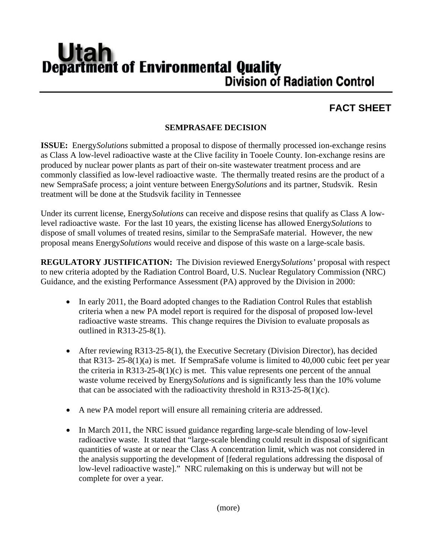## **Utan Department of Environmental Quality Division of Radiation Control**

## **FACT SHEET**

## **SEMPRASAFE DECISION**

**ISSUE:** Energy *Solutions* submitted a proposal to dispose of thermally processed ion-exchange resins as Class A low-level radioactive waste at the Clive facility in Tooele County. Ion-exchange resins are produced by nuclear power plants as part of their on-site was tewater treatment process and are commonly classified as low-level radioactive waste. The thermally treated resins are the product of a new SempraSafe process; a joint venture between Energy Solutions and its partner, Studsvik. Resin treatment will be done at the Studsvik facility in Tennessee

Under its current license, Energy*Solutions* can receive and dispose resins that qualify as Class A lowlevel radioactive waste. For the last 10 years, the existing license has allowed Energy Solutions to dispose of small volumes of treated resins, similar to the SempraSafe material. However, the new proposal means Energy Solutions would receive and dispose of this waste on a large-scale basis.

**REGULATORY JUSTIFICATION:** The Division reviewed Energy Solutions' proposal with respect to new criteria adopted by the Radiation Control Board, U.S. Nuclear Regulatory Commission (NRC) Guidance, and the existing Performance Assessment (PA) approved by the Division in 2000:

- In early 2011, the Board adopted changes to the Radiation Control Rules that establish  $\bullet$ criteria when a new PA model report is required for the disposal of proposed low-level radioactive waste streams. This change requires the Division to evaluate proposals as outlined in R313-25-8(1).
- $\bullet$ After reviewing R313-25-8(1), the Executive Secretary (Division Director), has decided that R313-25-8(1)(a) is met. If SempraSafe volume is limited to 40,000 cubic feet per year the criteria in R313-25-8(1)(c) is met. This value represents one percent of the annual waste volume received by Energy Solutions and is significantly less than the 10% volume that can be associated with the radioactivity threshold in  $R313-25-8(1)(c)$ .
- A new PA model report will ensure all remaining criteria are addressed.
- In March 2011, the NRC issued guidance regarding large-scale blending of low-level  $\bullet$ radioactive waste. It stated that "large-scale blending could result in disposal of significant quantities of waste at or near the Class A concentration limit, which was not considered in the analysis supporting the development of [federal regulations addressing the disposal of low-level radioactive waste]." NRC rulemaking on this is underway but will not be complete for over a year.